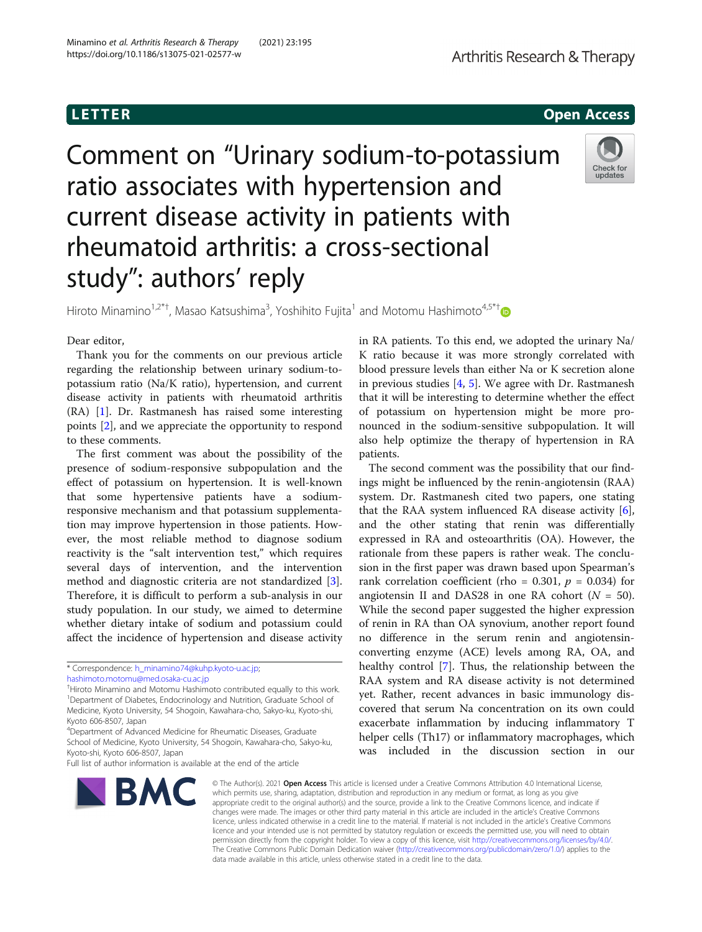**LETTER** CONSTRUCTION CONTINUES AND LOCAL CONTINUES OPEN ACCESS OPEN ACCESS OPEN ACCESS OPEN ACCESS OPEN ACCESS O

Comment on "Urinary sodium-to-potassium ratio associates with hypertension and current disease activity in patients with rheumatoid arthritis: a cross-sectional study": authors' reply



Hiroto Minamino<sup>1,2\*†</sup>, Masao Katsushima<sup>3</sup>, Yoshihito Fujita<sup>1</sup> and Motomu Hashimoto<sup>4,5\*†</sup>

# Dear editor,

Thank you for the comments on our previous article regarding the relationship between urinary sodium-topotassium ratio (Na/K ratio), hypertension, and current disease activity in patients with rheumatoid arthritis (RA) [\[1](#page-1-0)]. Dr. Rastmanesh has raised some interesting points [\[2](#page-1-0)], and we appreciate the opportunity to respond to these comments.

The first comment was about the possibility of the presence of sodium-responsive subpopulation and the effect of potassium on hypertension. It is well-known that some hypertensive patients have a sodiumresponsive mechanism and that potassium supplementation may improve hypertension in those patients. However, the most reliable method to diagnose sodium reactivity is the "salt intervention test," which requires several days of intervention, and the intervention method and diagnostic criteria are not standardized [\[3](#page-1-0)]. Therefore, it is difficult to perform a sub-analysis in our study population. In our study, we aimed to determine whether dietary intake of sodium and potassium could affect the incidence of hypertension and disease activity

Full list of author information is available at the end of the article



in RA patients. To this end, we adopted the urinary Na/ K ratio because it was more strongly correlated with blood pressure levels than either Na or K secretion alone in previous studies  $[4, 5]$  $[4, 5]$  $[4, 5]$  $[4, 5]$ . We agree with Dr. Rastmanesh that it will be interesting to determine whether the effect of potassium on hypertension might be more pronounced in the sodium-sensitive subpopulation. It will also help optimize the therapy of hypertension in RA patients.

The second comment was the possibility that our findings might be influenced by the renin-angiotensin (RAA) system. Dr. Rastmanesh cited two papers, one stating that the RAA system influenced RA disease activity [\[6](#page-1-0)], and the other stating that renin was differentially expressed in RA and osteoarthritis (OA). However, the rationale from these papers is rather weak. The conclusion in the first paper was drawn based upon Spearman's rank correlation coefficient (rho = 0.301,  $p = 0.034$ ) for angiotensin II and DAS28 in one RA cohort  $(N = 50)$ . While the second paper suggested the higher expression of renin in RA than OA synovium, another report found no difference in the serum renin and angiotensinconverting enzyme (ACE) levels among RA, OA, and healthy control [[7\]](#page-1-0). Thus, the relationship between the RAA system and RA disease activity is not determined yet. Rather, recent advances in basic immunology discovered that serum Na concentration on its own could exacerbate inflammation by inducing inflammatory T helper cells (Th17) or inflammatory macrophages, which was included in the discussion section in our

© The Author(s), 2021 **Open Access** This article is licensed under a Creative Commons Attribution 4.0 International License, which permits use, sharing, adaptation, distribution and reproduction in any medium or format, as long as you give appropriate credit to the original author(s) and the source, provide a link to the Creative Commons licence, and indicate if changes were made. The images or other third party material in this article are included in the article's Creative Commons licence, unless indicated otherwise in a credit line to the material. If material is not included in the article's Creative Commons licence and your intended use is not permitted by statutory regulation or exceeds the permitted use, you will need to obtain permission directly from the copyright holder. To view a copy of this licence, visit [http://creativecommons.org/licenses/by/4.0/.](http://creativecommons.org/licenses/by/4.0/) The Creative Commons Public Domain Dedication waiver [\(http://creativecommons.org/publicdomain/zero/1.0/](http://creativecommons.org/publicdomain/zero/1.0/)) applies to the data made available in this article, unless otherwise stated in a credit line to the data.

<sup>\*</sup> Correspondence: [h\\_minamino74@kuhp.kyoto-u.ac.jp](mailto:h_minamino74@kuhp.kyoto-u.ac.jp);

[hashimoto.motomu@med.osaka-cu.ac.jp](mailto:hashimoto.motomu@med.osaka-cu.ac.jp)

<sup>†</sup> Hiroto Minamino and Motomu Hashimoto contributed equally to this work. <sup>1</sup>Department of Diabetes, Endocrinology and Nutrition, Graduate School of Medicine, Kyoto University, 54 Shogoin, Kawahara-cho, Sakyo-ku, Kyoto-shi, Kyoto 606-8507, Japan

<sup>&</sup>lt;sup>4</sup>Department of Advanced Medicine for Rheumatic Diseases, Graduate School of Medicine, Kyoto University, 54 Shogoin, Kawahara-cho, Sakyo-ku, Kyoto-shi, Kyoto 606-8507, Japan